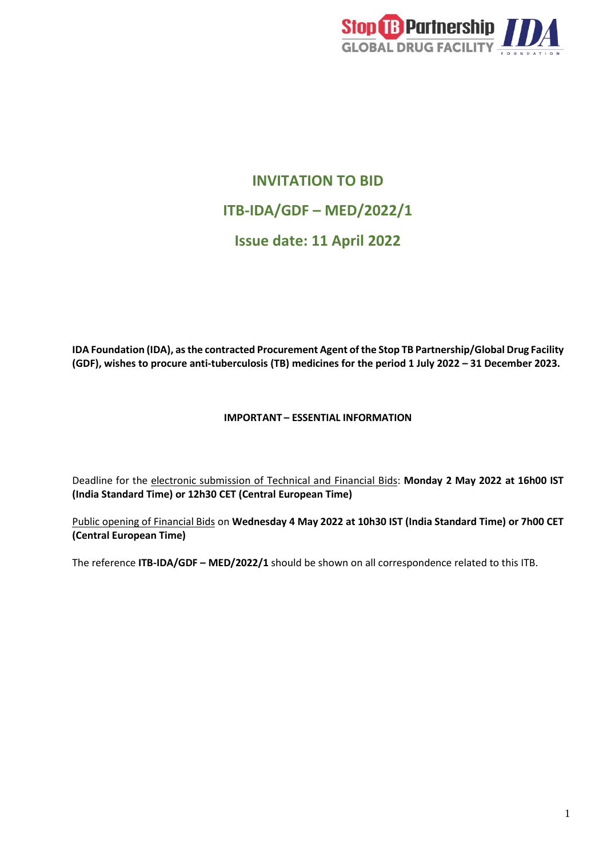

# **INVITATION TO BID ITB-IDA/GDF – MED/2022/1 Issue date: 11 April 2022**

**IDA Foundation (IDA), as the contracted Procurement Agent of the Stop TB Partnership/Global Drug Facility (GDF), wishes to procure anti-tuberculosis (TB) medicines for the period 1 July 2022 – 31 December 2023.**

### **IMPORTANT – ESSENTIAL INFORMATION**

Deadline for the electronic submission of Technical and Financial Bids: **Monday 2 May 2022 at 16h00 IST (India Standard Time) or 12h30 CET (Central European Time)**

Public opening of Financial Bids on **Wednesday 4 May 2022 at 10h30 IST (India Standard Time) or 7h00 CET (Central European Time)**

The reference **ITB-IDA/GDF – MED/2022/1** should be shown on all correspondence related to this ITB.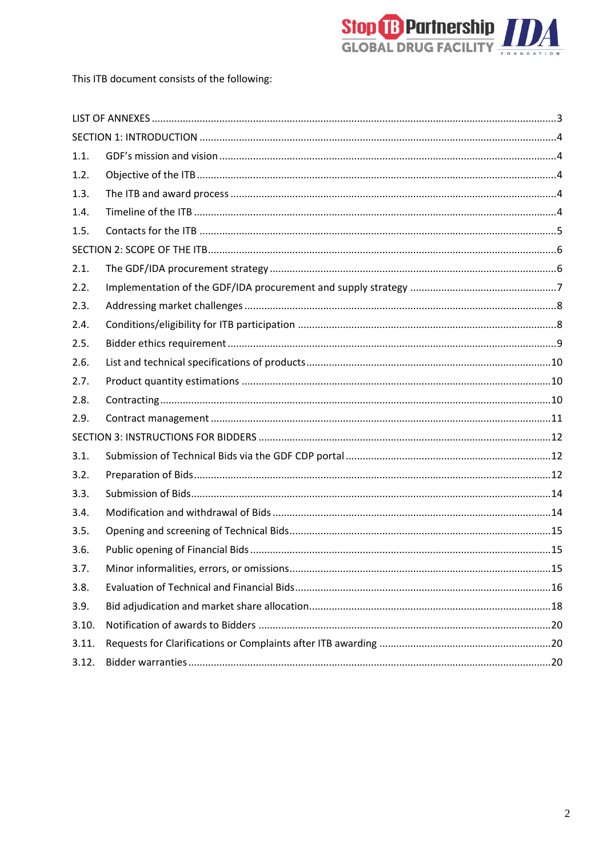

This ITB document consists of the following:

| 1.1.  |  |
|-------|--|
| 1.2.  |  |
| 1.3.  |  |
| 1.4.  |  |
| 1.5.  |  |
|       |  |
| 2.1.  |  |
| 2.2.  |  |
| 2.3.  |  |
| 2.4.  |  |
| 2.5.  |  |
| 2.6.  |  |
| 2.7.  |  |
| 2.8.  |  |
| 2.9.  |  |
|       |  |
| 3.1.  |  |
| 3.2.  |  |
| 3.3.  |  |
| 3.4.  |  |
| 3.5.  |  |
| 3.6.  |  |
| 3.7.  |  |
| 3.8.  |  |
| 3.9.  |  |
| 3.10. |  |
| 3.11. |  |
| 3.12. |  |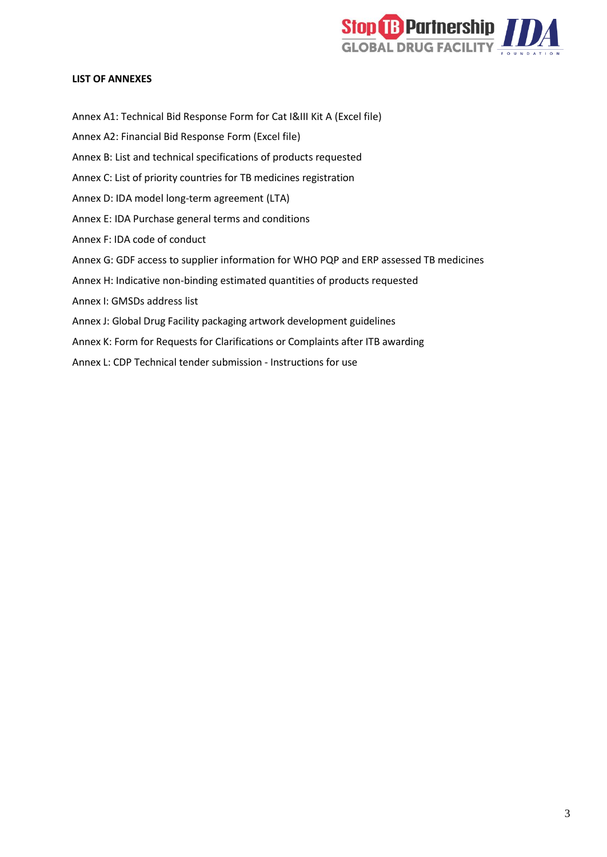

#### <span id="page-2-0"></span>**LIST OF ANNEXES**

Annex A1: Technical Bid Response Form for Cat I&III Kit A (Excel file) Annex A2: Financial Bid Response Form (Excel file) Annex B: List and technical specifications of products requested Annex C: List of priority countries for TB medicines registration Annex D: IDA model long-term agreement (LTA) Annex E: IDA Purchase general terms and conditions Annex F: IDA code of conduct Annex G: GDF access to supplier information for WHO PQP and ERP assessed TB medicines Annex H: Indicative non-binding estimated quantities of products requested Annex I: GMSDs address list Annex J: Global Drug Facility packaging artwork development guidelines Annex K: Form for Requests for Clarifications or Complaints after ITB awarding Annex L: CDP Technical tender submission - Instructions for use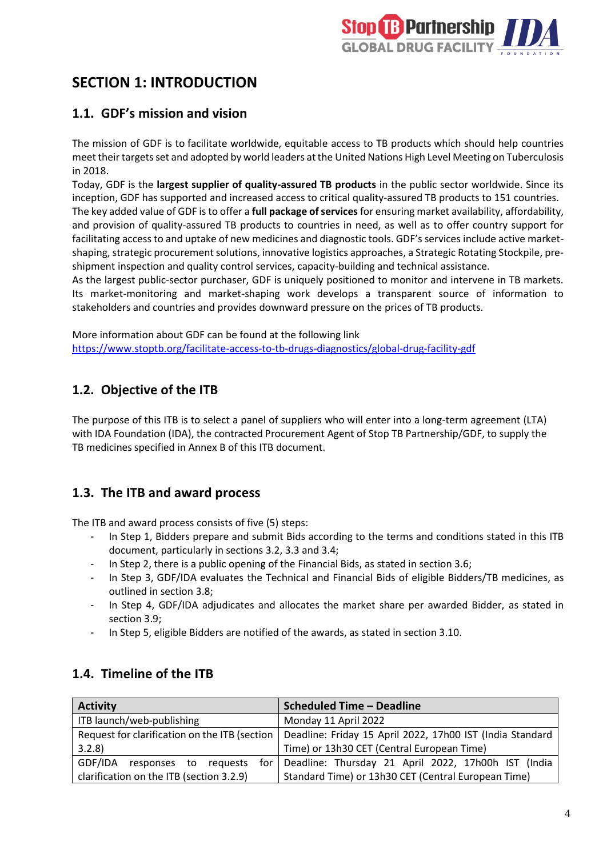

# <span id="page-3-0"></span>**SECTION 1: INTRODUCTION**

### <span id="page-3-1"></span>**1.1. GDF's mission and vision**

The mission of GDF is to facilitate worldwide, equitable access to TB products which should help countries meet their targets set and adopted by world leaders at the United Nations High Level Meeting on Tuberculosis in 2018.

Today, GDF is the **largest supplier of quality-assured TB products** in the public sector worldwide. Since its inception, GDF has supported and increased access to critical quality-assured TB products to 151 countries.

The key added value of GDF is to offer a **full package of services** for ensuring market availability, affordability, and provision of quality-assured TB products to countries in need, as well as to offer country support for facilitating access to and uptake of new medicines and diagnostic tools. GDF's services include active marketshaping, strategic procurement solutions, innovative logistics approaches, a Strategic Rotating Stockpile, preshipment inspection and quality control services, capacity-building and technical assistance.

As the largest public-sector purchaser, GDF is uniquely positioned to monitor and intervene in TB markets. Its market-monitoring and market-shaping work develops a transparent source of information to stakeholders and countries and provides downward pressure on the prices of TB products.

More information about GDF can be found at the following link <https://www.stoptb.org/facilitate-access-to-tb-drugs-diagnostics/global-drug-facility-gdf>

# <span id="page-3-2"></span>**1.2. Objective of the ITB**

The purpose of this ITB is to select a panel of suppliers who will enter into a long-term agreement (LTA) with IDA Foundation (IDA), the contracted Procurement Agent of Stop TB Partnership/GDF, to supply the TB medicines specified in Annex B of this ITB document.

# <span id="page-3-3"></span>**1.3. The ITB and award process**

The ITB and award process consists of five (5) steps:

- In Step 1, Bidders prepare and submit Bids according to the terms and conditions stated in this ITB document, particularly in sections 3.2, 3.3 and 3.4;
- In Step 2, there is a public opening of the Financial Bids, as stated in section 3.6;
- In Step 3, GDF/IDA evaluates the Technical and Financial Bids of eligible Bidders/TB medicines, as outlined in section 3.8;
- In Step 4, GDF/IDA adjudicates and allocates the market share per awarded Bidder, as stated in section 3.9;
- In Step 5, eligible Bidders are notified of the awards, as stated in section 3.10.

### <span id="page-3-4"></span>**1.4. Timeline of the ITB**

| <b>Activity</b>                          | <b>Scheduled Time - Deadline</b>                                                                          |
|------------------------------------------|-----------------------------------------------------------------------------------------------------------|
| ITB launch/web-publishing                | Monday 11 April 2022                                                                                      |
|                                          | Request for clarification on the ITB (section   Deadline: Friday 15 April 2022, 17h00 IST (India Standard |
| 3.2.8                                    | Time) or 13h30 CET (Central European Time)                                                                |
| GDF/IDA<br>reauests<br>responses to      | for   Deadline: Thursday 21 April 2022, 17h00h IST (India                                                 |
| clarification on the ITB (section 3.2.9) | Standard Time) or 13h30 CET (Central European Time)                                                       |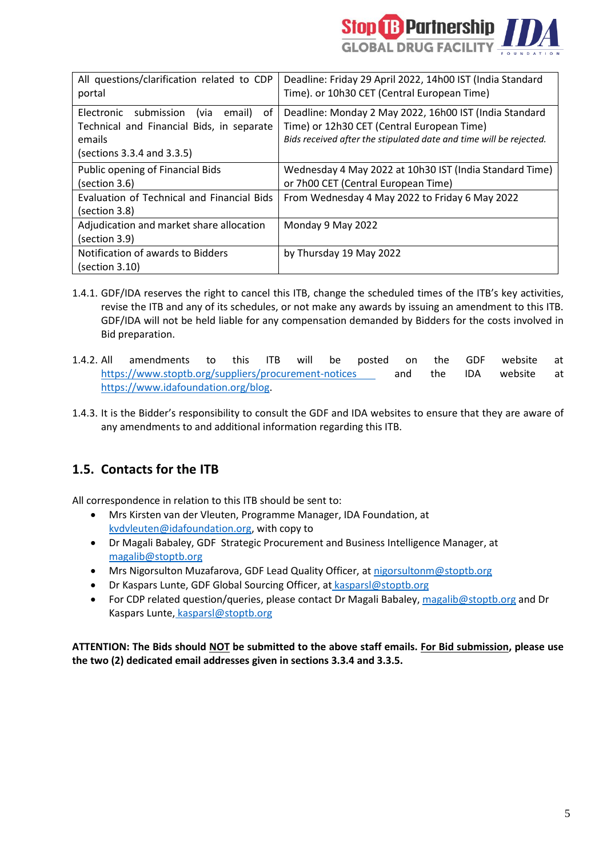

| All questions/clarification related to CDP       | Deadline: Friday 29 April 2022, 14h00 IST (India Standard          |
|--------------------------------------------------|--------------------------------------------------------------------|
| portal                                           | Time). or 10h30 CET (Central European Time)                        |
| submission<br>Electronic<br>(via<br>0f<br>email) | Deadline: Monday 2 May 2022, 16h00 IST (India Standard             |
| Technical and Financial Bids, in separate        | Time) or 12h30 CET (Central European Time)                         |
| emails                                           | Bids received after the stipulated date and time will be rejected. |
| (sections 3.3.4 and 3.3.5)                       |                                                                    |
| Public opening of Financial Bids                 | Wednesday 4 May 2022 at 10h30 IST (India Standard Time)            |
| (section 3.6)                                    | or 7h00 CET (Central European Time)                                |
| Evaluation of Technical and Financial Bids       | From Wednesday 4 May 2022 to Friday 6 May 2022                     |
| (section 3.8)                                    |                                                                    |
| Adjudication and market share allocation         | Monday 9 May 2022                                                  |
| (section 3.9)                                    |                                                                    |
| Notification of awards to Bidders                | by Thursday 19 May 2022                                            |
| (section 3.10)                                   |                                                                    |

- 1.4.1. GDF/IDA reserves the right to cancel this ITB, change the scheduled times of the ITB's key activities, revise the ITB and any of its schedules, or not make any awards by issuing an amendment to this ITB. GDF/IDA will not be held liable for any compensation demanded by Bidders for the costs involved in Bid preparation.
- 1.4.2. All amendments to this ITB will be posted on the GDF website at <https://www.stoptb.org/suppliers/procurement-notices> and the IDA website at https://www.idafoundation.org/blog.
- 1.4.3. It is the Bidder's responsibility to consult the GDF and IDA websites to ensure that they are aware of any amendments to and additional information regarding this ITB.

# <span id="page-4-0"></span>**1.5. Contacts for the ITB**

All correspondence in relation to this ITB should be sent to:

- Mrs Kirsten van der Vleuten, Programme Manager, IDA Foundation, [at](mailto:sdejongh@idafoundation.org)  [kvdvleuten@idafoundation.org,](mailto:sdejongh@idafoundation.org) with copy to
- Dr Magali Babaley, GDF [S](mailto:joubertonf@who.int)trategic Procurement and Business Intelligence Manager, at [magalib@stoptb.org](mailto:magalib@stoptb.org)
- Mrs Nigorsulton Muzafarova, GDF Lead Quality Officer, at [nigorsultonm@stoptb.org](mailto:nigorsultonm@stoptb.org)
- Dr Kaspars Lunte, GDF Global Sourcing Officer, at [kasparsl@stoptb.org](mailto:kasparsl@stoptb.org)
- For CDP related question/queries, please contact Dr Magali Babaley, [magalib@stoptb.org](mailto:magalib@stoptb.org) and Dr Kaspars Lunte, [kasparsl@stoptb.org](mailto:kasparsl@stoptb.org)

**ATTENTION: The Bids should NOT be submitted to the above staff emails. For Bid submission, please use the two (2) dedicated email addresses given in sections 3.3.4 and 3.3.5.**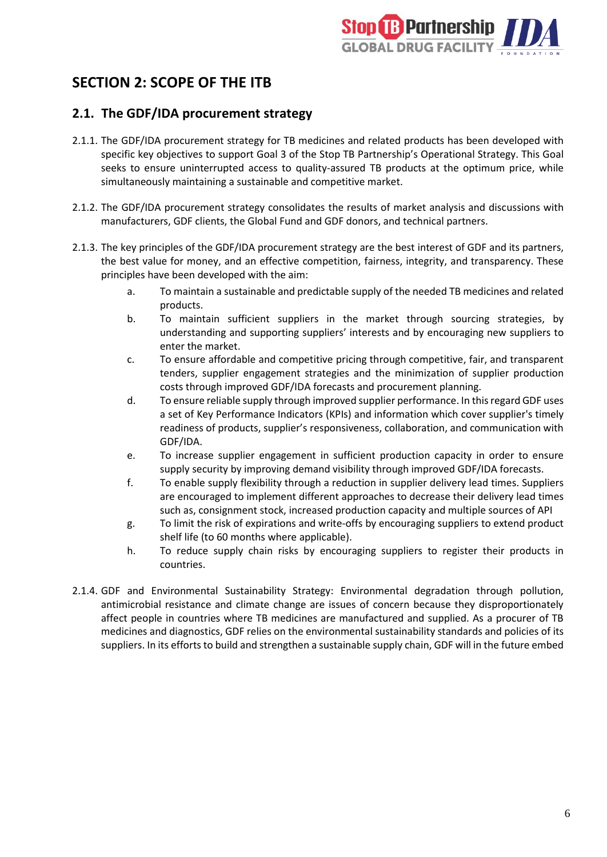

# <span id="page-5-0"></span>**SECTION 2: SCOPE OF THE ITB**

### <span id="page-5-1"></span>**2.1. The GDF/IDA procurement strategy**

- 2.1.1. The GDF/IDA procurement strategy for TB medicines and related products has been developed with specific key objectives to support Goal 3 of the Stop TB Partnership's Operational Strategy. This Goal seeks to ensure uninterrupted access to quality-assured TB products at the optimum price, while simultaneously maintaining a sustainable and competitive market.
- 2.1.2. The GDF/IDA procurement strategy consolidates the results of market analysis and discussions with manufacturers, GDF clients, the Global Fund and GDF donors, and technical partners.
- 2.1.3. The key principles of the GDF/IDA procurement strategy are the best interest of GDF and its partners, the best value for money, and an effective competition, fairness, integrity, and transparency. These principles have been developed with the aim:
	- a. To maintain a sustainable and predictable supply of the needed TB medicines and related products.
	- b. To maintain sufficient suppliers in the market through sourcing strategies, by understanding and supporting suppliers' interests and by encouraging new suppliers to enter the market.
	- c. To ensure affordable and competitive pricing through competitive, fair, and transparent tenders, supplier engagement strategies and the minimization of supplier production costs through improved GDF/IDA forecasts and procurement planning.
	- d. To ensure reliable supply through improved supplier performance. In this regard GDF uses a set of Key Performance Indicators (KPIs) and information which cover supplier's timely readiness of products, supplier's responsiveness, collaboration, and communication with GDF/IDA.
	- e. To increase supplier engagement in sufficient production capacity in order to ensure supply security by improving demand visibility through improved GDF/IDA forecasts.
	- f. To enable supply flexibility through a reduction in supplier delivery lead times. Suppliers are encouraged to implement different approaches to decrease their delivery lead times such as, consignment stock, increased production capacity and multiple sources of API
	- g. To limit the risk of expirations and write-offs by encouraging suppliers to extend product shelf life (to 60 months where applicable).
	- h. To reduce supply chain risks by encouraging suppliers to register their products in countries.
- 2.1.4. GDF and Environmental Sustainability Strategy: Environmental degradation through pollution, antimicrobial resistance and climate change are issues of concern because they disproportionately affect people in countries where TB medicines are manufactured and supplied. As a procurer of TB medicines and diagnostics, GDF relies on the environmental sustainability standards and policies of its suppliers. In its efforts to build and strengthen a sustainable supply chain, GDF will in the future embed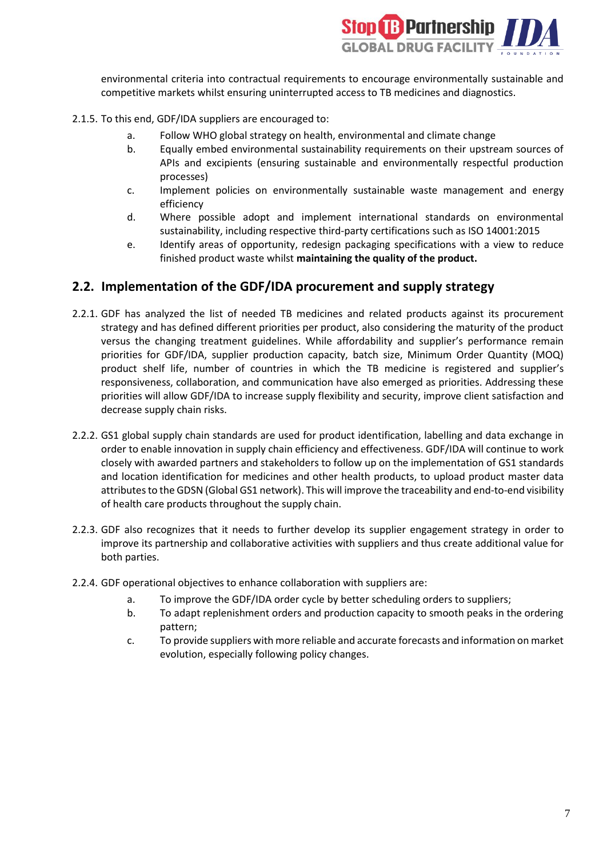

environmental criteria into contractual requirements to encourage environmentally sustainable and competitive markets whilst ensuring uninterrupted access to TB medicines and diagnostics.

- 2.1.5. To this end, GDF/IDA suppliers are encouraged to:
	- a. Follow WHO global strategy on health, environmental and climate change
	- b. Equally embed environmental sustainability requirements on their upstream sources of APIs and excipients (ensuring sustainable and environmentally respectful production processes)
	- c. Implement policies on environmentally sustainable waste management and energy efficiency
	- d. Where possible adopt and implement international standards on environmental sustainability, including respective third-party certifications such as ISO 14001:2015
	- e. Identify areas of opportunity, redesign packaging specifications with a view to reduce finished product waste whilst **maintaining the quality of the product.**

### <span id="page-6-0"></span>**2.2. Implementation of the GDF/IDA procurement and supply strategy**

- 2.2.1. GDF has analyzed the list of needed TB medicines and related products against its procurement strategy and has defined different priorities per product, also considering the maturity of the product versus the changing treatment guidelines. While affordability and supplier's performance remain priorities for GDF/IDA, supplier production capacity, batch size, Minimum Order Quantity (MOQ) product shelf life, number of countries in which the TB medicine is registered and supplier's responsiveness, collaboration, and communication have also emerged as priorities. Addressing these priorities will allow GDF/IDA to increase supply flexibility and security, improve client satisfaction and decrease supply chain risks.
- 2.2.2. GS1 global supply chain standards are used for product identification, labelling and data exchange in order to enable innovation in supply chain efficiency and effectiveness. GDF/IDA will continue to work closely with awarded partners and stakeholders to follow up on the implementation of GS1 standards and location identification for medicines and other health products, to upload product master data attributes to the GDSN (Global GS1 network). This will improve the traceability and end-to-end visibility of health care products throughout the supply chain.
- 2.2.3. GDF also recognizes that it needs to further develop its supplier engagement strategy in order to improve its partnership and collaborative activities with suppliers and thus create additional value for both parties.
- 2.2.4. GDF operational objectives to enhance collaboration with suppliers are:
	- a. To improve the GDF/IDA order cycle by better scheduling orders to suppliers;
	- b. To adapt replenishment orders and production capacity to smooth peaks in the ordering pattern;
	- c. To provide suppliers with more reliable and accurate forecasts and information on market evolution, especially following policy changes.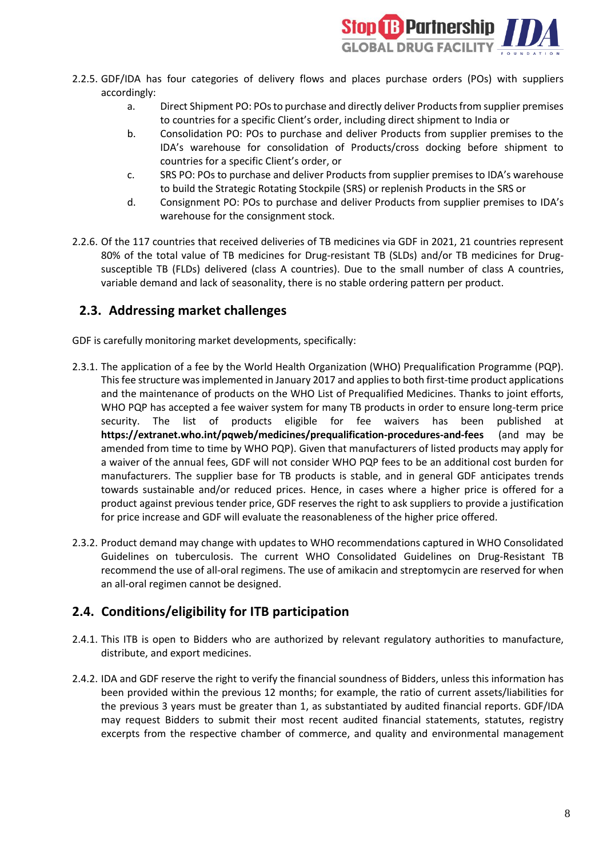

- 2.2.5. GDF/IDA has four categories of delivery flows and places purchase orders (POs) with suppliers accordingly:
	- a. Direct Shipment PO: POs to purchase and directly deliver Products from supplier premises to countries for a specific Client's order, including direct shipment to India or
	- b. Consolidation PO: POs to purchase and deliver Products from supplier premises to the IDA's warehouse for consolidation of Products/cross docking before shipment to countries for a specific Client's order, or
	- c. SRS PO: POs to purchase and deliver Products from supplier premises to IDA's warehouse to build the Strategic Rotating Stockpile (SRS) or replenish Products in the SRS or
	- d. Consignment PO: POs to purchase and deliver Products from supplier premises to IDA's warehouse for the consignment stock.
- 2.2.6. Of the 117 countries that received deliveries of TB medicines via GDF in 2021, 21 countries represent 80% of the total value of TB medicines for Drug-resistant TB (SLDs) and/or TB medicines for Drugsusceptible TB (FLDs) delivered (class A countries). Due to the small number of class A countries, variable demand and lack of seasonality, there is no stable ordering pattern per product.

### <span id="page-7-0"></span>**2.3. Addressing market challenges**

GDF is carefully monitoring market developments, specifically:

- 2.3.1. The application of a fee by the World Health Organization (WHO) Prequalification Programme (PQP). This fee structure was implemented in January 2017 and appliesto both first-time product applications and the maintenance of products on the WHO List of Prequalified Medicines. Thanks to joint efforts, WHO PQP has accepted a fee waiver system for many TB products in order to ensure long-term price security. The list of products eligible for fee waivers has been published at **<https://extranet.who.int/pqweb/medicines/prequalification-procedures-and-fees>** (and may be amended from time to time by WHO PQP). Given that manufacturers of listed products may apply for a waiver of the annual fees, GDF will not consider WHO PQP fees to be an additional cost burden for manufacturers. The supplier base for TB products is stable, and in general GDF anticipates trends towards sustainable and/or reduced prices. Hence, in cases where a higher price is offered for a product against previous tender price, GDF reserves the right to ask suppliers to provide a justification for price increase and GDF will evaluate the reasonableness of the higher price offered.
- 2.3.2. Product demand may change with updates to WHO recommendations captured in WHO Consolidated Guidelines on tuberculosis. The current WHO Consolidated Guidelines on Drug-Resistant TB recommend the use of all-oral regimens. The use of amikacin and streptomycin are reserved for when an all-oral regimen cannot be designed.

# <span id="page-7-1"></span>**2.4. Conditions/eligibility for ITB participation**

- 2.4.1. This ITB is open to Bidders who are authorized by relevant regulatory authorities to manufacture, distribute, and export medicines.
- 2.4.2. IDA and GDF reserve the right to verify the financial soundness of Bidders, unless this information has been provided within the previous 12 months; for example, the ratio of current assets/liabilities for the previous 3 years must be greater than 1, as substantiated by audited financial reports. GDF/IDA may request Bidders to submit their most recent audited financial statements, statutes, registry excerpts from the respective chamber of commerce, and quality and environmental management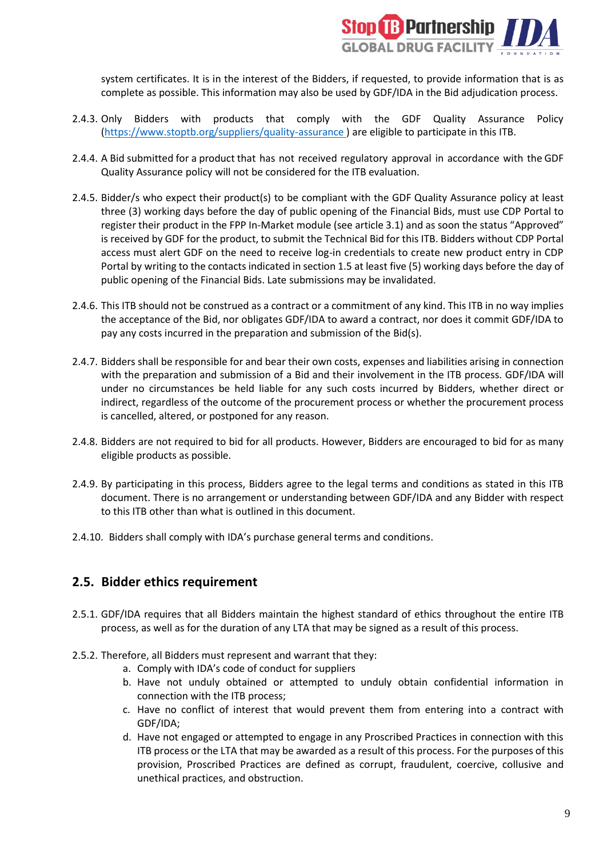

system certificates. It is in the interest of the Bidders, if requested, to provide information that is as complete as possible. This information may also be used by GDF/IDA in the Bid adjudication process.

- 2.4.3. Only Bidders with products that comply with the GDF Quality Assurance Policy [\(https://www.stoptb.org/suppliers/quality-assurance](https://www.stoptb.org/suppliers/quality-assurance) ) are eligible to participate in this ITB.
- 2.4.4. A Bid submitted for a product that has not received regulatory approval in accordance with the GDF Quality Assurance policy will not be considered for the ITB evaluation.
- 2.4.5. Bidder/s who expect their product(s) to be compliant with the GDF Quality Assurance policy at least three (3) working days before the day of public opening of the Financial Bids, must use CDP Portal to register their product in the FPP In-Market module (see article 3.1) and as soon the status "Approved" is received by GDF for the product, to submit the Technical Bid for this ITB. Bidders without CDP Portal access must alert GDF on the need to receive log-in credentials to create new product entry in CDP Portal by writing to the contacts indicated in section 1.5 at least five (5) working days before the day of public opening of the Financial Bids. Late submissions may be invalidated.
- 2.4.6. This ITB should not be construed as a contract or a commitment of any kind. This ITB in no way implies the acceptance of the Bid, nor obligates GDF/IDA to award a contract, nor does it commit GDF/IDA to pay any costs incurred in the preparation and submission of the Bid(s).
- 2.4.7. Bidders shall be responsible for and bear their own costs, expenses and liabilities arising in connection with the preparation and submission of a Bid and their involvement in the ITB process. GDF/IDA will under no circumstances be held liable for any such costs incurred by Bidders, whether direct or indirect, regardless of the outcome of the procurement process or whether the procurement process is cancelled, altered, or postponed for any reason.
- 2.4.8. Bidders are not required to bid for all products. However, Bidders are encouraged to bid for as many eligible products as possible.
- 2.4.9. By participating in this process, Bidders agree to the legal terms and conditions as stated in this ITB document. There is no arrangement or understanding between GDF/IDA and any Bidder with respect to this ITB other than what is outlined in this document.
- 2.4.10. Bidders shall comply with IDA's [purchase general terms and conditions.](http://www.un.org/Depts/ptd/sites/dr7.un.org.Depts.ptd/files/files/attachment/page/2014/February%202014/conduct_english.pdf)

### <span id="page-8-0"></span>**2.5. Bidder ethics requirement**

- 2.5.1. GDF/IDA requires that all Bidders maintain the highest standard of ethics throughout the entire ITB process, as well as for the duration of any LTA that may be signed as a result of this process.
- 2.5.2. Therefore, all Bidders must represent and warrant that they:
	- a. Comply with IDA's code of conduct for suppliers
	- b. Have not unduly obtained or attempted to unduly obtain confidential information in connection with the ITB process;
	- c. Have no conflict of interest that would prevent them from entering into a contract with GDF/IDA;
	- d. Have not engaged or attempted to engage in any Proscribed Practices in connection with this ITB process or the LTA that may be awarded as a result of this process. For the purposes of this provision, Proscribed Practices are defined as corrupt, fraudulent, coercive, collusive and unethical practices, and obstruction.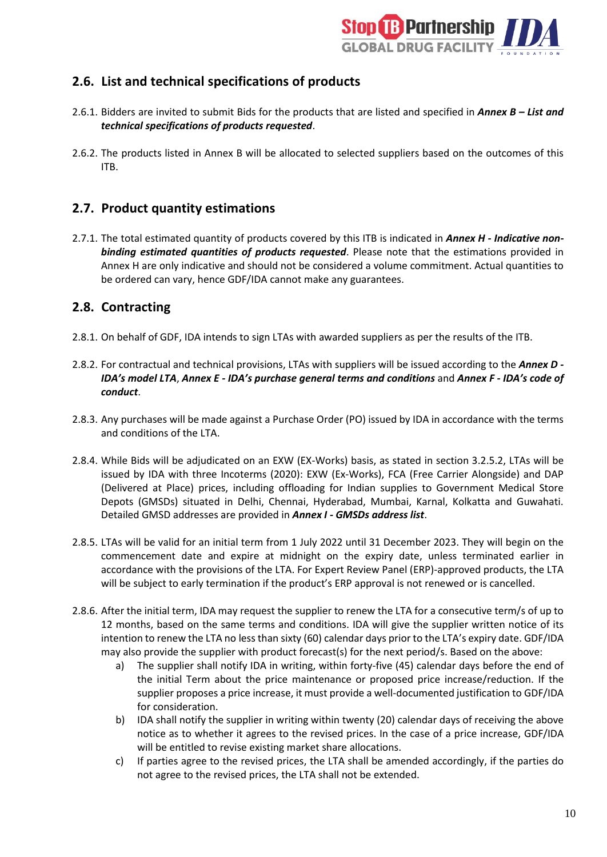

# <span id="page-9-0"></span>**2.6. List and technical specifications of products**

- 2.6.1. Bidders are invited to submit Bids for the products that are listed and specified in *Annex B – List and technical specifications of products requested*.
- 2.6.2. The products listed in Annex B will be allocated to selected suppliers based on the outcomes of this ITB.

### <span id="page-9-1"></span>**2.7. Product quantity estimations**

2.7.1. The total estimated quantity of products covered by this ITB is indicated in *Annex H - Indicative nonbinding estimated quantities of products requested*. Please note that the estimations provided in Annex H are only indicative and should not be considered a volume commitment. Actual quantities to be ordered can vary, hence GDF/IDA cannot make any guarantees.

### <span id="page-9-2"></span>**2.8. Contracting**

- 2.8.1. On behalf of GDF, IDA intends to sign LTAs with awarded suppliers as per the results of the ITB.
- 2.8.2. For contractual and technical provisions, LTAs with suppliers will be issued according to the *Annex D - IDA's model LTA*, *Annex E - IDA's purchase general terms and conditions* and *Annex F - IDA's code of conduct*.
- 2.8.3. Any purchases will be made against a Purchase Order (PO) issued by IDA in accordance with the terms and conditions of the LTA.
- 2.8.4. While Bids will be adjudicated on an EXW (EX-Works) basis, as stated in section 3.2.5.2, LTAs will be issued by IDA with three Incoterms (2020): EXW (Ex-Works), FCA (Free Carrier Alongside) and DAP (Delivered at Place) prices, including offloading for Indian supplies to Government Medical Store Depots (GMSDs) situated in Delhi, Chennai, Hyderabad, Mumbai, Karnal, Kolkatta and Guwahati. Detailed GMSD addresses are provided in *Annex I - GMSDs address list*.
- 2.8.5. LTAs will be valid for an initial term from 1 July 2022 until 31 December 2023. They will begin on the commencement date and expire at midnight on the expiry date, unless terminated earlier in accordance with the provisions of the LTA. For Expert Review Panel (ERP)-approved products, the LTA will be subject to early termination if the product's ERP approval is not renewed or is cancelled.
- 2.8.6. After the initial term, IDA may request the supplier to renew the LTA for a consecutive term/s of up to 12 months, based on the same terms and conditions. IDA will give the supplier written notice of its intention to renew the LTA no less than sixty (60) calendar days prior to the LTA's expiry date. GDF/IDA may also provide the supplier with product forecast(s) for the next period/s. Based on the above:
	- a) The supplier shall notify IDA in writing, within forty-five (45) calendar days before the end of the initial Term about the price maintenance or proposed price increase/reduction. If the supplier proposes a price increase, it must provide a well-documented justification to GDF/IDA for consideration.
	- b) IDA shall notify the supplier in writing within twenty (20) calendar days of receiving the above notice as to whether it agrees to the revised prices. In the case of a price increase, GDF/IDA will be entitled to revise existing market share allocations.
	- c) If parties agree to the revised prices, the LTA shall be amended accordingly, if the parties do not agree to the revised prices, the LTA shall not be extended.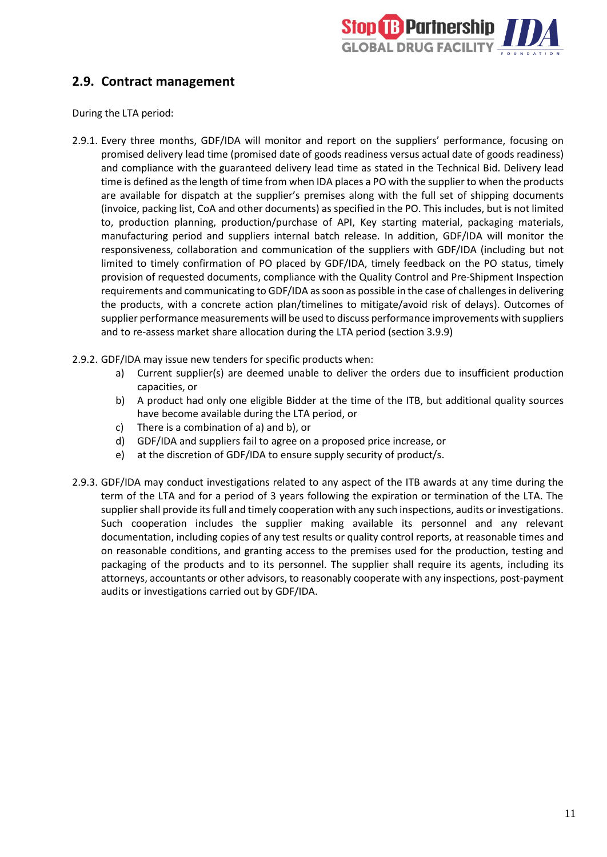

### <span id="page-10-0"></span>**2.9. Contract management**

During the LTA period:

- 2.9.1. Every three months, GDF/IDA will monitor and report on the suppliers' performance, focusing on promised delivery lead time (promised date of goods readiness versus actual date of goods readiness) and compliance with the guaranteed delivery lead time as stated in the Technical Bid. Delivery lead time is defined as the length of time from when IDA places a PO with the supplier to when the products are available for dispatch at the supplier's premises along with the full set of shipping documents (invoice, packing list, CoA and other documents) as specified in the PO. This includes, but is not limited to, production planning, production/purchase of API, Key starting material, packaging materials, manufacturing period and suppliers internal batch release. In addition, GDF/IDA will monitor the responsiveness, collaboration and communication of the suppliers with GDF/IDA (including but not limited to timely confirmation of PO placed by GDF/IDA, timely feedback on the PO status, timely provision of requested documents, compliance with the Quality Control and Pre-Shipment Inspection requirements and communicating to GDF/IDA as soon as possible in the case of challenges in delivering the products, with a concrete action plan/timelines to mitigate/avoid risk of delays). Outcomes of supplier performance measurements will be used to discuss performance improvements with suppliers and to re-assess market share allocation during the LTA period (section 3.9.9)
- 2.9.2. GDF/IDA may issue new tenders for specific products when:
	- a) Current supplier(s) are deemed unable to deliver the orders due to insufficient production capacities, or
	- b) A product had only one eligible Bidder at the time of the ITB, but additional quality sources have become available during the LTA period, or
	- c) There is a combination of a) and b), or
	- d) GDF/IDA and suppliers fail to agree on a proposed price increase, or
	- e) at the discretion of GDF/IDA to ensure supply security of product/s.
- 2.9.3. GDF/IDA may conduct investigations related to any aspect of the ITB awards at any time during the term of the LTA and for a period of 3 years following the expiration or termination of the LTA. The supplier shall provide its full and timely cooperation with any such inspections, audits or investigations. Such cooperation includes the supplier making available its personnel and any relevant documentation, including copies of any test results or quality control reports, at reasonable times and on reasonable conditions, and granting access to the premises used for the production, testing and packaging of the products and to its personnel. The supplier shall require its agents, including its attorneys, accountants or other advisors, to reasonably cooperate with any inspections, post-payment audits or investigations carried out by GDF/IDA.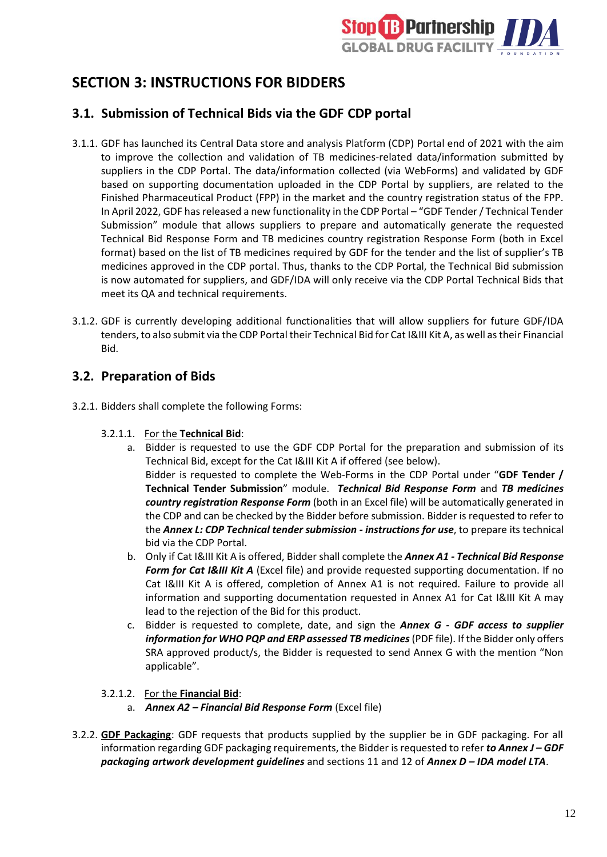

# <span id="page-11-0"></span>**SECTION 3: INSTRUCTIONS FOR BIDDERS**

### <span id="page-11-1"></span>**3.1. Submission of Technical Bids via the GDF CDP portal**

- 3.1.1. GDF has launched its Central Data store and analysis Platform (CDP) Portal end of 2021 with the aim to improve the collection and validation of TB medicines-related data/information submitted by suppliers in the CDP Portal. The data/information collected (via WebForms) and validated by GDF based on supporting documentation uploaded in the CDP Portal by suppliers, are related to the Finished Pharmaceutical Product (FPP) in the market and the country registration status of the FPP. In April 2022, GDF has released a new functionality in the CDP Portal – "GDF Tender/ Technical Tender Submission" module that allows suppliers to prepare and automatically generate the requested Technical Bid Response Form and TB medicines country registration Response Form (both in Excel format) based on the list of TB medicines required by GDF for the tender and the list of supplier's TB medicines approved in the CDP portal. Thus, thanks to the CDP Portal, the Technical Bid submission is now automated for suppliers, and GDF/IDA will only receive via the CDP Portal Technical Bids that meet its QA and technical requirements.
- 3.1.2. GDF is currently developing additional functionalities that will allow suppliers for future GDF/IDA tenders, to also submit via the CDP Portal their Technical Bid for Cat I&III Kit A, as well as their Financial Bid.

### <span id="page-11-2"></span>**3.2. Preparation of Bids**

- 3.2.1. Bidders shall complete the following Forms:
	- 3.2.1.1. For the **Technical Bid**:
		- a. Bidder is requested to use the GDF CDP Portal for the preparation and submission of its Technical Bid, except for the Cat I&III Kit A if offered (see below). Bidder is requested to complete the Web-Forms in the CDP Portal under "**GDF Tender / Technical Tender Submission**" module. *Technical Bid Response Form* and *TB medicines country registration Response Form* (both in an Excel file) will be automatically generated in the CDP and can be checked by the Bidder before submission. Bidder is requested to refer to the *Annex L: CDP Technical tender submission - instructions for use*, to prepare its technical bid via the CDP Portal.
		- b. Only if Cat I&III Kit A is offered, Bidder shall complete the *Annex A1 - Technical Bid Response Form for Cat I&III Kit A* (Excel file) and provide requested supporting documentation. If no Cat I&III Kit A is offered, completion of Annex A1 is not required. Failure to provide all information and supporting documentation requested in Annex A1 for Cat I&III Kit A may lead to the rejection of the Bid for this product.
		- c. Bidder is requested to complete, date, and sign the *Annex G - GDF access to supplier information for WHO PQP and ERP assessed TB medicines*(PDF file). If the Bidder only offers SRA approved product/s, the Bidder is requested to send Annex G with the mention "Non applicable".
	- 3.2.1.2. For the **Financial Bid**:
		- a. *Annex A2 – Financial Bid Response Form* (Excel file)
- 3.2.2. **GDF Packaging**: GDF requests that products supplied by the supplier be in GDF packaging. For all information regarding GDF packaging requirements, the Bidder is requested to refer *to Annex J – GDF packaging artwork development guidelines* and sections 11 and 12 of *Annex D – IDA model LTA*.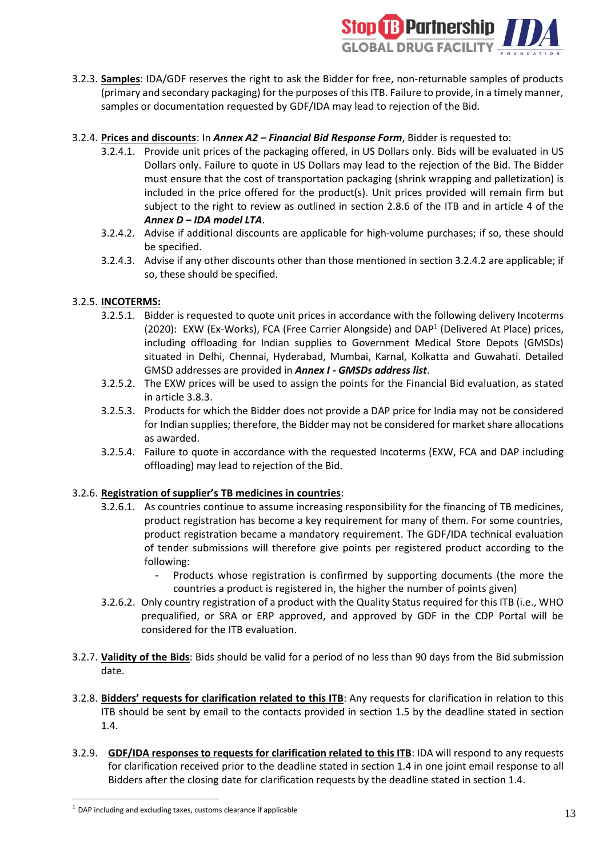

3.2.3. **Samples**: IDA/GDF reserves the right to ask the Bidder for free, non-returnable samples of products (primary and secondary packaging) for the purposes of this ITB. Failure to provide, in a timely manner, samples or documentation requested by GDF/IDA may lead to rejection of the Bid.

### 3.2.4. **Prices and discounts**: In *Annex A2 – Financial Bid Response Form*, Bidder is requested to:

- 3.2.4.1. Provide unit prices of the packaging offered, in US Dollars only. Bids will be evaluated in US Dollars only. Failure to quote in US Dollars may lead to the rejection of the Bid. The Bidder must ensure that the cost of transportation packaging (shrink wrapping and palletization) is included in the price offered for the product(s). Unit prices provided will remain firm but subject to the right to review as outlined in section 2.8.6 of the ITB and in article 4 of the *Annex D – IDA model LTA*.
- 3.2.4.2. Advise if additional discounts are applicable for high-volume purchases; if so, these should be specified.
- 3.2.4.3. Advise if any other discounts other than those mentioned in section 3.2.4.2 are applicable; if so, these should be specified.

### 3.2.5. **INCOTERMS:**

- 3.2.5.1. Bidder is requested to quote unit prices in accordance with the following delivery Incoterms (2020): EXW (Ex-Works), FCA (Free Carrier Alongside) and DAP<sup>1</sup> (Delivered At Place) prices, including offloading for Indian supplies to Government Medical Store Depots (GMSDs) situated in Delhi, Chennai, Hyderabad, Mumbai, Karnal, Kolkatta and Guwahati. Detailed GMSD addresses are provided in *Annex I - GMSDs address list*.
- 3.2.5.2. The EXW prices will be used to assign the points for the Financial Bid evaluation, as stated in article 3.8.3.
- 3.2.5.3. Products for which the Bidder does not provide a DAP price for India may not be considered for Indian supplies; therefore, the Bidder may not be considered for market share allocations as awarded.
- 3.2.5.4. Failure to quote in accordance with the requested Incoterms (EXW, FCA and DAP including offloading) may lead to rejection of the Bid.

#### 3.2.6. **Registration of supplier's TB medicines in countries**:

- 3.2.6.1. As countries continue to assume increasing responsibility for the financing of TB medicines, product registration has become a key requirement for many of them. For some countries, product registration became a mandatory requirement. The GDF/IDA technical evaluation of tender submissions will therefore give points per registered product according to the following:
	- Products whose registration is confirmed by supporting documents (the more the countries a product is registered in, the higher the number of points given)
- 3.2.6.2. Only country registration of a product with the Quality Status required for this ITB (i.e., WHO prequalified, or SRA or ERP approved, and approved by GDF in the CDP Portal will be considered for the ITB evaluation.
- 3.2.7. **Validity of the Bids**: Bids should be valid for a period of no less than 90 days from the Bid submission date.
- 3.2.8. **Bidders' requests for clarification related to this ITB**: Any requests for clarification in relation to this ITB should be sent by email to the contacts provided in section 1.5 by the deadline stated in section 1.4.
- 3.2.9. **GDF/IDA responses to requests for clarification related to this ITB**: IDA will respond to any requests for clarification received prior to the deadline stated in section 1.4 in one joint email response to all Bidders after the closing date for clarification requests by the deadline stated in section 1.4.

 $1$  DAP including and excluding taxes, customs clearance if applicable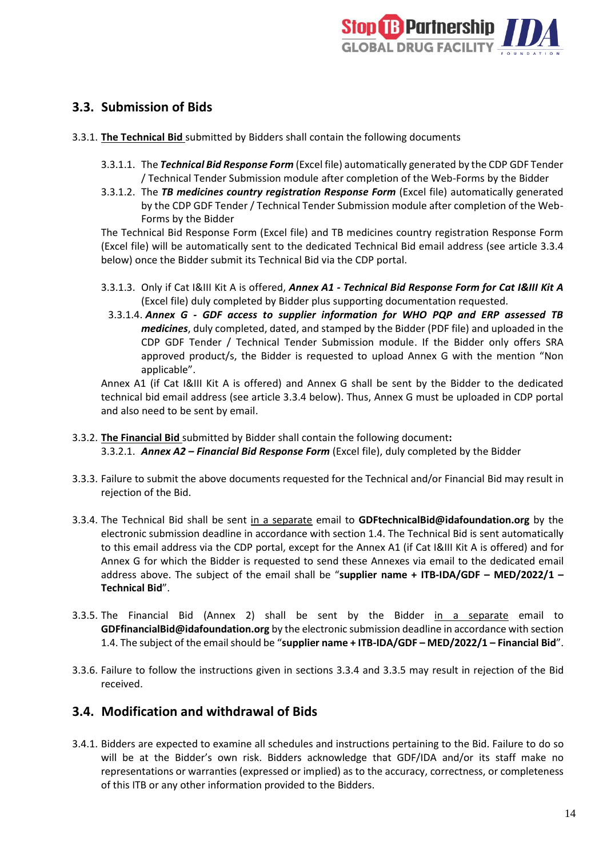

### <span id="page-13-0"></span>**3.3. Submission of Bids**

- 3.3.1. **The Technical Bid** submitted by Bidders shall contain the following documents
	- 3.3.1.1. The *Technical Bid Response Form* (Excel file) automatically generated by the CDP GDF Tender / Technical Tender Submission module after completion of the Web-Forms by the Bidder
	- 3.3.1.2. The *TB medicines country registration Response Form* (Excel file) automatically generated by the CDP GDF Tender / Technical Tender Submission module after completion of the Web-Forms by the Bidder

The Technical Bid Response Form (Excel file) and TB medicines country registration Response Form (Excel file) will be automatically sent to the dedicated Technical Bid email address (see article 3.3.4 below) once the Bidder submit its Technical Bid via the CDP portal.

- 3.3.1.3. Only if Cat I&III Kit A is offered, *Annex A1 - Technical Bid Response Form for Cat I&III Kit A* (Excel file) duly completed by Bidder plus supporting documentation requested.
	- 3.3.1.4. *Annex G - GDF access to supplier information for WHO PQP and ERP assessed TB medicines*, duly completed, dated, and stamped by the Bidder (PDF file) and uploaded in the CDP GDF Tender / Technical Tender Submission module. If the Bidder only offers SRA approved product/s, the Bidder is requested to upload Annex G with the mention "Non applicable".

Annex A1 (if Cat I&III Kit A is offered) and Annex G shall be sent by the Bidder to the dedicated technical bid email address (see article 3.3.4 below). Thus, Annex G must be uploaded in CDP portal and also need to be sent by email.

- 3.3.2. **The Financial Bid** submitted by Bidder shall contain the following document**:** 3.3.2.1. *Annex A2 – Financial Bid Response Form* (Excel file), duly completed by the Bidder
- 3.3.3. Failure to submit the above documents requested for the Technical and/or Financial Bid may result in rejection of the Bid.
- 3.3.4. The Technical Bid shall be sent in a separate email to **GD[FtechnicalBid@idafoundation.org](mailto:technicalbid@idafoundation.org)** by the electronic submission deadline in accordance with section 1.4. The Technical Bid is sent automatically to this email address via the CDP portal, except for the Annex A1 (if Cat I&III Kit A is offered) and for Annex G for which the Bidder is requested to send these Annexes via email to the dedicated email address above. The subject of the email shall be "**supplier name + ITB-IDA/GDF – MED/2022/1 – Technical Bid**".
- 3.3.5. The Financial Bid (Annex 2) shall be sent by the Bidder in a separate email to **GD[FfinancialBid@idafoundation.org](mailto:financialbid@idafoundation.org)** by the electronic submission deadline in accordance with section 1.4. The subject of the email should be "**supplier name + ITB-IDA/GDF – MED/2022/1 – Financial Bid**".
- 3.3.6. Failure to follow the instructions given in sections 3.3.4 and 3.3.5 may result in rejection of the Bid received.

### <span id="page-13-1"></span>**3.4. Modification and withdrawal of Bids**

3.4.1. Bidders are expected to examine all schedules and instructions pertaining to the Bid. Failure to do so will be at the Bidder's own risk. Bidders acknowledge that GDF/IDA and/or its staff make no representations or warranties (expressed or implied) as to the accuracy, correctness, or completeness of this ITB or any other information provided to the Bidders.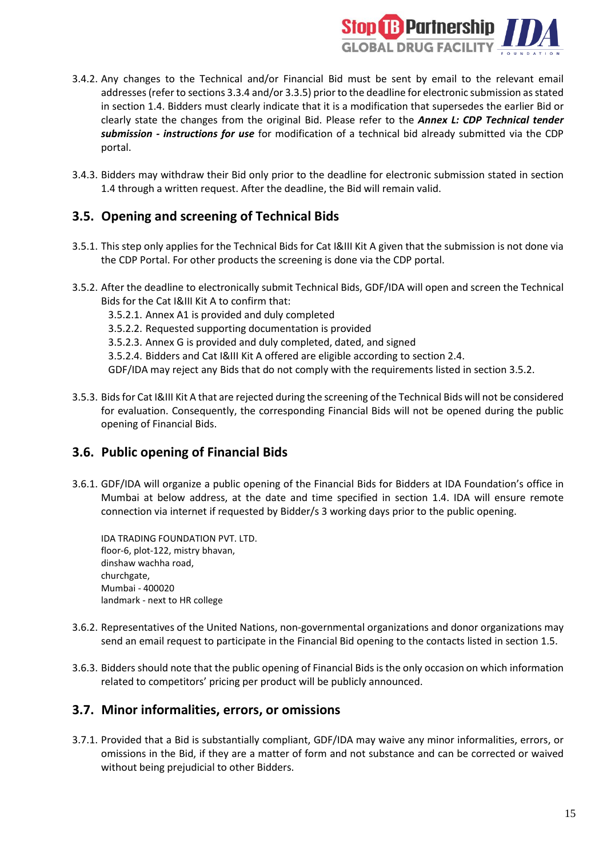

- 3.4.2. Any changes to the Technical and/or Financial Bid must be sent by email to the relevant email addresses (refer to sections 3.3.4 and/or 3.3.5) prior to the deadline for electronic submission as stated in section 1.4. Bidders must clearly indicate that it is a modification that supersedes the earlier Bid or clearly state the changes from the original Bid. Please refer to the *Annex L: CDP Technical tender submission - instructions for use* for modification of a technical bid already submitted via the CDP portal.
- 3.4.3. Bidders may withdraw their Bid only prior to the deadline for electronic submission stated in section 1.4 through a written request. After the deadline, the Bid will remain valid.

# <span id="page-14-0"></span>**3.5. Opening and screening of Technical Bids**

- 3.5.1. This step only applies for the Technical Bids for Cat I&III Kit A given that the submission is not done via the CDP Portal. For other products the screening is done via the CDP portal.
- 3.5.2. After the deadline to electronically submit Technical Bids, GDF/IDA will open and screen the Technical Bids for the Cat I&III Kit A to confirm that:
	- 3.5.2.1. Annex A1 is provided and duly completed
	- 3.5.2.2. Requested supporting documentation is provided
	- 3.5.2.3. Annex G is provided and duly completed, dated, and signed
	- 3.5.2.4. Bidders and Cat I&III Kit A offered are eligible according to section 2.4.

GDF/IDA may reject any Bids that do not comply with the requirements listed in section 3.5.2.

3.5.3. Bids for Cat I&III Kit A that are rejected during the screening of the Technical Bids will not be considered for evaluation. Consequently, the corresponding Financial Bids will not be opened during the public opening of Financial Bids.

### <span id="page-14-1"></span>**3.6. Public opening of Financial Bids**

3.6.1. GDF/IDA will organize a public opening of the Financial Bids for Bidders at IDA Foundation's office in Mumbai at below address, at the date and time specified in section 1.4. IDA will ensure remote connection via internet if requested by Bidder/s 3 working days prior to the public opening.

IDA TRADING FOUNDATION PVT. LTD. floor-6, plot-122, mistry bhavan, dinshaw wachha road, churchgate, Mumbai - 400020 landmark - next to HR college

- 3.6.2. Representatives of the United Nations, non-governmental organizations and donor organizations may send an email request to participate in the Financial Bid opening to the contacts listed in section 1.5.
- 3.6.3. Bidders should note that the public opening of Financial Bids is the only occasion on which information related to competitors' pricing per product will be publicly announced.

### <span id="page-14-2"></span>**3.7. Minor informalities, errors, or omissions**

3.7.1. Provided that a Bid is substantially compliant, GDF/IDA may waive any minor informalities, errors, or omissions in the Bid, if they are a matter of form and not substance and can be corrected or waived without being prejudicial to other Bidders.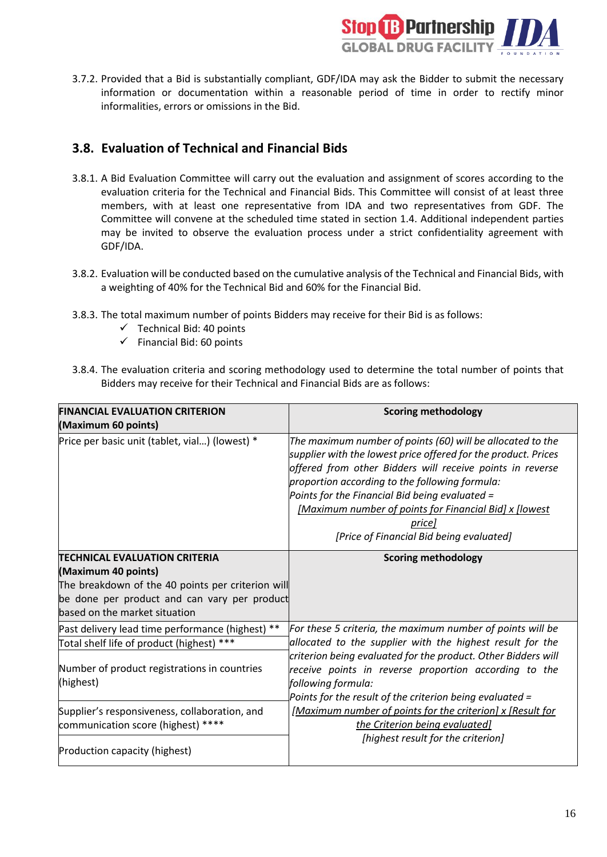

3.7.2. Provided that a Bid is substantially compliant, GDF/IDA may ask the Bidder to submit the necessary information or documentation within a reasonable period of time in order to rectify minor informalities, errors or omissions in the Bid.

### <span id="page-15-0"></span>**3.8. Evaluation of Technical and Financial Bids**

- 3.8.1. A Bid Evaluation Committee will carry out the evaluation and assignment of scores according to the evaluation criteria for the Technical and Financial Bids. This Committee will consist of at least three members, with at least one representative from IDA and two representatives from GDF. The Committee will convene at the scheduled time stated in section 1.4. Additional independent parties may be invited to observe the evaluation process under a strict confidentiality agreement with GDF/IDA.
- 3.8.2. Evaluation will be conducted based on the cumulative analysis of the Technical and Financial Bids, with a weighting of 40% for the Technical Bid and 60% for the Financial Bid.
- 3.8.3. The total maximum number of points Bidders may receive for their Bid is as follows:
	- $\checkmark$  Technical Bid: 40 points
	- $\checkmark$  Financial Bid: 60 points
- 3.8.4. The evaluation criteria and scoring methodology used to determine the total number of points that Bidders may receive for their Technical and Financial Bids are as follows:

| <b>FINANCIAL EVALUATION CRITERION</b>                                               | <b>Scoring methodology</b>                                                                                                                                                                                                                                                                                                                                                                                    |  |
|-------------------------------------------------------------------------------------|---------------------------------------------------------------------------------------------------------------------------------------------------------------------------------------------------------------------------------------------------------------------------------------------------------------------------------------------------------------------------------------------------------------|--|
| (Maximum 60 points)                                                                 |                                                                                                                                                                                                                                                                                                                                                                                                               |  |
| Price per basic unit (tablet, vial) (lowest) *                                      | The maximum number of points (60) will be allocated to the<br>supplier with the lowest price offered for the product. Prices<br>offered from other Bidders will receive points in reverse<br>proportion according to the following formula:<br>Points for the Financial Bid being evaluated =<br>[Maximum number of points for Financial Bid] x [lowest<br>pricel<br>[Price of Financial Bid being evaluated] |  |
| <b>TECHNICAL EVALUATION CRITERIA</b>                                                | <b>Scoring methodology</b>                                                                                                                                                                                                                                                                                                                                                                                    |  |
| (Maximum 40 points)                                                                 |                                                                                                                                                                                                                                                                                                                                                                                                               |  |
| The breakdown of the 40 points per criterion will                                   |                                                                                                                                                                                                                                                                                                                                                                                                               |  |
| be done per product and can vary per product                                        |                                                                                                                                                                                                                                                                                                                                                                                                               |  |
| based on the market situation                                                       |                                                                                                                                                                                                                                                                                                                                                                                                               |  |
| Past delivery lead time performance (highest) **                                    | For these 5 criteria, the maximum number of points will be                                                                                                                                                                                                                                                                                                                                                    |  |
| Total shelf life of product (highest) ***                                           | allocated to the supplier with the highest result for the                                                                                                                                                                                                                                                                                                                                                     |  |
| Number of product registrations in countries<br>(highest)                           | criterion being evaluated for the product. Other Bidders will<br>receive points in reverse proportion according to the<br>following formula:<br>Points for the result of the criterion being evaluated =                                                                                                                                                                                                      |  |
| Supplier's responsiveness, collaboration, and<br>communication score (highest) **** | [Maximum number of points for the criterion] x [Result for<br>the Criterion being evaluated]<br>[highest result for the criterion]                                                                                                                                                                                                                                                                            |  |
| Production capacity (highest)                                                       |                                                                                                                                                                                                                                                                                                                                                                                                               |  |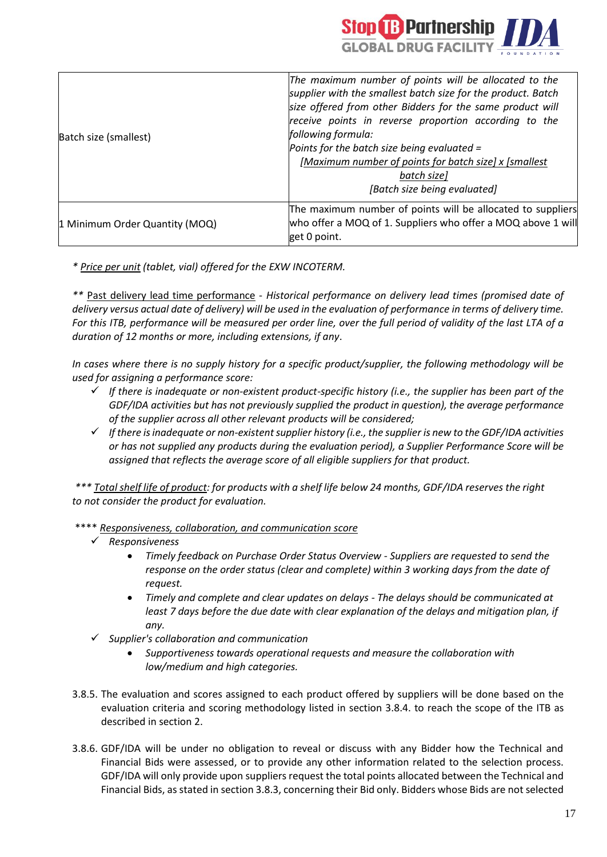

| Batch size (smallest)          | The maximum number of points will be allocated to the<br>supplier with the smallest batch size for the product. Batch<br>size offered from other Bidders for the same product will<br>receive points in reverse proportion according to the<br>following formula:<br>Points for the batch size being evaluated =<br>[Maximum number of points for batch size] x [smallest<br>batch size]<br>[Batch size being evaluated] |
|--------------------------------|--------------------------------------------------------------------------------------------------------------------------------------------------------------------------------------------------------------------------------------------------------------------------------------------------------------------------------------------------------------------------------------------------------------------------|
| 1 Minimum Order Quantity (MOQ) | The maximum number of points will be allocated to suppliers<br>who offer a MOQ of 1. Suppliers who offer a MOQ above 1 will<br>get 0 point.                                                                                                                                                                                                                                                                              |

*\* Price per unit (tablet, vial) offered for the EXW INCOTERM.*

*\*\** Past delivery lead time performance - *Historical performance on delivery lead times (promised date of delivery versus actual date of delivery) will be used in the evaluation of performance in terms of delivery time. For this ITB, performance will be measured per order line, over the full period of validity of the last LTA of a duration of 12 months or more, including extensions, if any*.

*In cases where there is no supply history for a specific product/supplier, the following methodology will be used for assigning a performance score:*

- ✓ *If there is inadequate or non-existent product-specific history (i.e., the supplier has been part of the GDF/IDA activities but has not previously supplied the product in question), the average performance of the supplier across all other relevant products will be considered;*
- ✓ *If there isinadequate or non-existentsupplier history (i.e., the supplier is new to the GDF/IDA activities or has not supplied any products during the evaluation period), a Supplier Performance Score will be assigned that reflects the average score of all eligible suppliers for that product.*

*\*\*\* Total shelf life of product: for products with a shelf life below 24 months, GDF/IDA reserves the right to not consider the product for evaluation.*

- \*\*\*\* *Responsiveness, collaboration, and communication score*
	- ✓ *Responsiveness*
		- *Timely feedback on Purchase Order Status Overview - Suppliers are requested to send the response on the order status (clear and complete) within 3 working days from the date of request.*
		- *Timely and complete and clear updates on delays - The delays should be communicated at least 7 days before the due date with clear explanation of the delays and mitigation plan, if any.*
	- ✓ *Supplier's collaboration and communication*
		- *Supportiveness towards operational requests and measure the collaboration with low/medium and high categories.*
- 3.8.5. The evaluation and scores assigned to each product offered by suppliers will be done based on the evaluation criteria and scoring methodology listed in section 3.8.4. to reach the scope of the ITB as described in section 2.
- 3.8.6. GDF/IDA will be under no obligation to reveal or discuss with any Bidder how the Technical and Financial Bids were assessed, or to provide any other information related to the selection process. GDF/IDA will only provide upon suppliers request the total points allocated between the Technical and Financial Bids, as stated in section 3.8.3, concerning their Bid only. Bidders whose Bids are not selected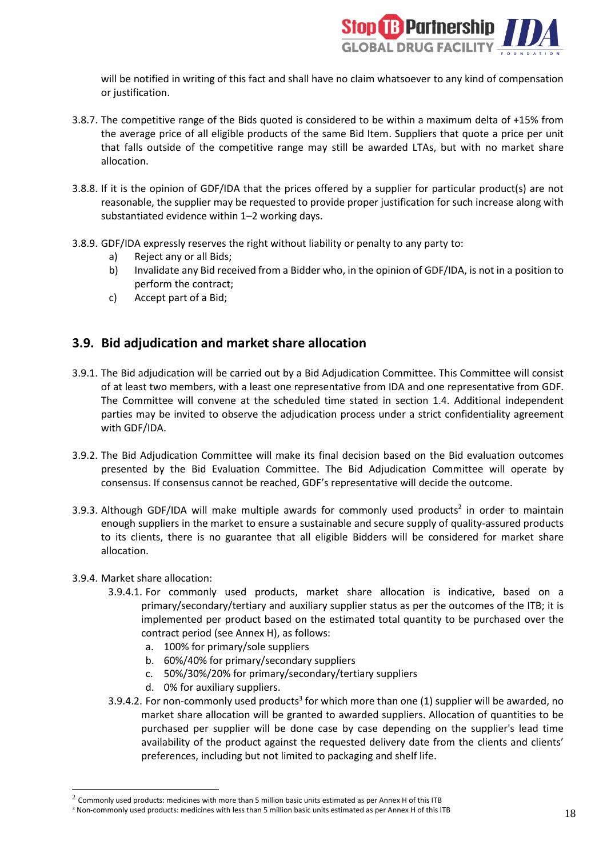

will be notified in writing of this fact and shall have no claim whatsoever to any kind of compensation or justification.

- 3.8.7. The competitive range of the Bids quoted is considered to be within a maximum delta of +15% from the average price of all eligible products of the same Bid Item. Suppliers that quote a price per unit that falls outside of the competitive range may still be awarded LTAs, but with no market share allocation.
- 3.8.8. If it is the opinion of GDF/IDA that the prices offered by a supplier for particular product(s) are not reasonable, the supplier may be requested to provide proper justification for such increase along with substantiated evidence within 1–2 working days.
- 3.8.9. GDF/IDA expressly reserves the right without liability or penalty to any party to:
	- a) Reject any or all Bids;
	- b) Invalidate any Bid received from a Bidder who, in the opinion of GDF/IDA, is not in a position to perform the contract;
	- c) Accept part of a Bid;

### <span id="page-17-0"></span>**3.9. Bid adjudication and market share allocation**

- 3.9.1. The Bid adjudication will be carried out by a Bid Adjudication Committee. This Committee will consist of at least two members, with a least one representative from IDA and one representative from GDF. The Committee will convene at the scheduled time stated in section 1.4. Additional independent parties may be invited to observe the adjudication process under a strict confidentiality agreement with GDF/IDA.
- 3.9.2. The Bid Adjudication Committee will make its final decision based on the Bid evaluation outcomes presented by the Bid Evaluation Committee. The Bid Adjudication Committee will operate by consensus. If consensus cannot be reached, GDF's representative will decide the outcome.
- 3.9.3. Although GDF/IDA will make multiple awards for commonly used products<sup>2</sup> in order to maintain enough suppliers in the market to ensure a sustainable and secure supply of quality-assured products to its clients, there is no guarantee that all eligible Bidders will be considered for market share allocation.

#### 3.9.4. Market share allocation:

- 3.9.4.1. For commonly used products, market share allocation is indicative, based on a primary/secondary/tertiary and auxiliary supplier status as per the outcomes of the ITB; it is implemented per product based on the estimated total quantity to be purchased over the contract period (see Annex H), as follows:
	- a. 100% for primary/sole suppliers
	- b. 60%/40% for primary/secondary suppliers
	- c. 50%/30%/20% for primary/secondary/tertiary suppliers
	- d. 0% for auxiliary suppliers.
- 3.9.4.2. For non-commonly used products<sup>3</sup> for which more than one (1) supplier will be awarded, no market share allocation will be granted to awarded suppliers. Allocation of quantities to be purchased per supplier will be done case by case depending on the supplier's lead time availability of the product against the requested delivery date from the clients and clients' preferences, including but not limited to packaging and shelf life.

 $^2$  Commonly used products: medicines with more than 5 million basic units estimated as per Annex H of this ITB

<sup>3</sup> Non-commonly used products: medicines with less than 5 million basic units estimated as per Annex H of this ITB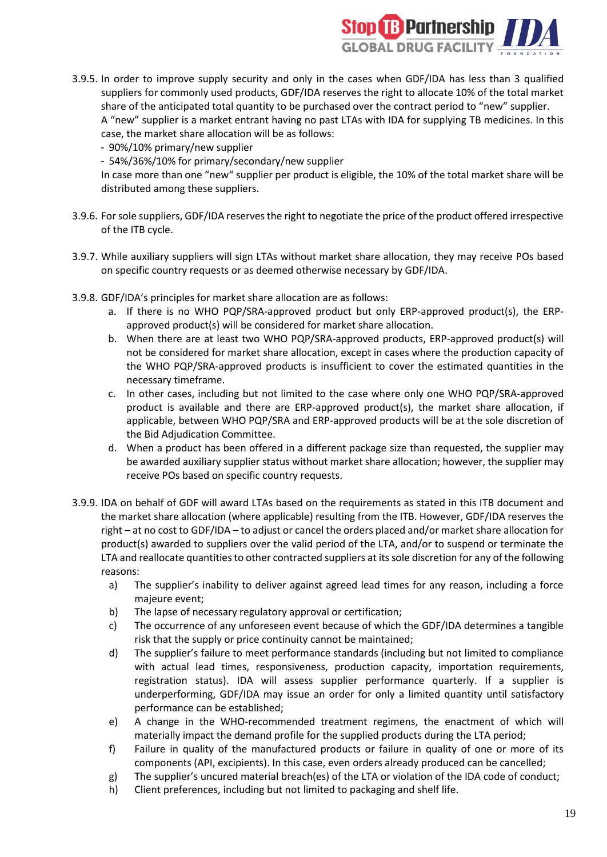

- 3.9.5. In order to improve supply security and only in the cases when GDF/IDA has less than 3 qualified suppliers for commonly used products, GDF/IDA reserves the right to allocate 10% of the total market share of the anticipated total quantity to be purchased over the contract period to "new" supplier. A "new" supplier is a market entrant having no past LTAs with IDA for supplying TB medicines. In this case, the market share allocation will be as follows:
	- 90%/10% primary/new supplier
	- 54%/36%/10% for primary/secondary/new supplier

In case more than one "new" supplier per product is eligible, the 10% of the total market share will be distributed among these suppliers.

- 3.9.6. For sole suppliers, GDF/IDA reservesthe right to negotiate the price of the product offered irrespective of the ITB cycle.
- 3.9.7. While auxiliary suppliers will sign LTAs without market share allocation, they may receive POs based on specific country requests or as deemed otherwise necessary by GDF/IDA.
- 3.9.8. GDF/IDA's principles for market share allocation are as follows:
	- a. If there is no WHO PQP/SRA-approved product but only ERP-approved product(s), the ERPapproved product(s) will be considered for market share allocation.
	- b. When there are at least two WHO PQP/SRA-approved products, ERP-approved product(s) will not be considered for market share allocation, except in cases where the production capacity of the WHO PQP/SRA-approved products is insufficient to cover the estimated quantities in the necessary timeframe.
	- c. In other cases, including but not limited to the case where only one WHO PQP/SRA-approved product is available and there are ERP-approved product(s), the market share allocation, if applicable, between WHO PQP/SRA and ERP-approved products will be at the sole discretion of the Bid Adjudication Committee.
	- d. When a product has been offered in a different package size than requested, the supplier may be awarded auxiliary supplier status without market share allocation; however, the supplier may receive POs based on specific country requests.
- 3.9.9. IDA on behalf of GDF will award LTAs based on the requirements as stated in this ITB document and the market share allocation (where applicable) resulting from the ITB. However, GDF/IDA reserves the right – at no cost to GDF/IDA – to adjust or cancel the orders placed and/or market share allocation for product(s) awarded to suppliers over the valid period of the LTA, and/or to suspend or terminate the LTA and reallocate quantities to other contracted suppliers at its sole discretion for any of the following reasons:
	- a) The supplier's inability to deliver against agreed lead times for any reason, including a force majeure event;
	- b) The lapse of necessary regulatory approval or certification;
	- c) The occurrence of any unforeseen event because of which the GDF/IDA determines a tangible risk that the supply or price continuity cannot be maintained;
	- d) The supplier's failure to meet performance standards (including but not limited to compliance with actual lead times, responsiveness, production capacity, importation requirements, registration status). IDA will assess supplier performance quarterly. If a supplier is underperforming, GDF/IDA may issue an order for only a limited quantity until satisfactory performance can be established;
	- e) A change in the WHO-recommended treatment regimens, the enactment of which will materially impact the demand profile for the supplied products during the LTA period;
	- f) Failure in quality of the manufactured products or failure in quality of one or more of its components (API, excipients). In this case, even orders already produced can be cancelled;
	- g) The supplier's uncured material breach(es) of the LTA or violation of the IDA code of conduct;
	- h) Client preferences, including but not limited to packaging and shelf life.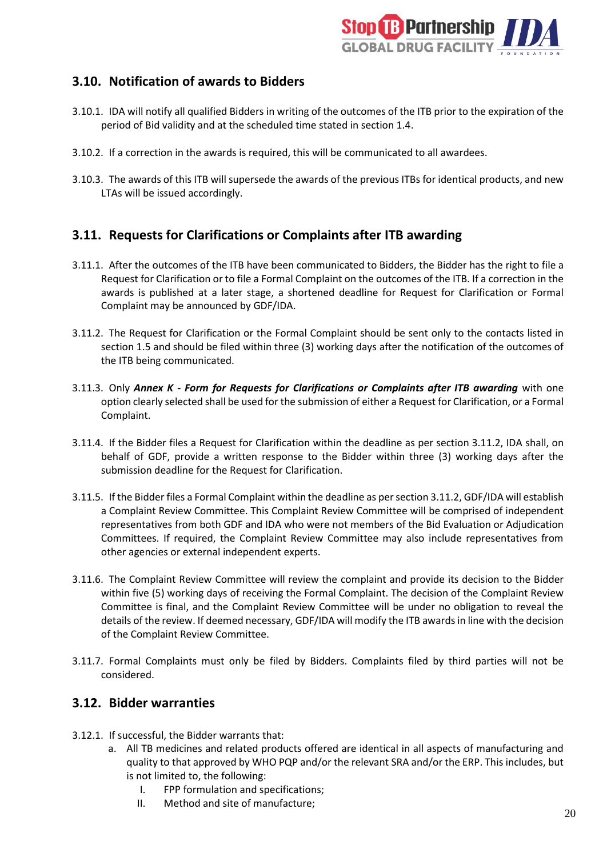

### <span id="page-19-0"></span>**3.10. Notification of awards to Bidders**

- 3.10.1. IDA will notify all qualified Bidders in writing of the outcomes of the ITB prior to the expiration of the period of Bid validity and at the scheduled time stated in section 1.4.
- 3.10.2. If a correction in the awards is required, this will be communicated to all awardees.
- 3.10.3. The awards of this ITB will supersede the awards of the previous ITBs for identical products, and new LTAs will be issued accordingly.

### <span id="page-19-1"></span>**3.11. Requests for Clarifications or Complaints after ITB awarding**

- 3.11.1. After the outcomes of the ITB have been communicated to Bidders, the Bidder has the right to file a Request for Clarification or to file a Formal Complaint on the outcomes of the ITB. If a correction in the awards is published at a later stage, a shortened deadline for Request for Clarification or Formal Complaint may be announced by GDF/IDA.
- 3.11.2. The Request for Clarification or the Formal Complaint should be sent only to the contacts listed in section 1.5 and should be filed within three (3) working days after the notification of the outcomes of the ITB being communicated.
- 3.11.3. Only *Annex K - Form for Requests for Clarifications or Complaints after ITB awarding* with one option clearly selected shall be used for the submission of either a Request for Clarification, or a Formal Complaint.
- 3.11.4. If the Bidder files a Request for Clarification within the deadline as per section 3.11.2, IDA shall, on behalf of GDF, provide a written response to the Bidder within three (3) working days after the submission deadline for the Request for Clarification.
- 3.11.5. If the Bidder files a Formal Complaint within the deadline as per section 3.11.2, GDF/IDA will establish a Complaint Review Committee. This Complaint Review Committee will be comprised of independent representatives from both GDF and IDA who were not members of the Bid Evaluation or Adjudication Committees. If required, the Complaint Review Committee may also include representatives from other agencies or external independent experts.
- 3.11.6. The Complaint Review Committee will review the complaint and provide its decision to the Bidder within five (5) working days of receiving the Formal Complaint. The decision of the Complaint Review Committee is final, and the Complaint Review Committee will be under no obligation to reveal the details of the review. If deemed necessary, GDF/IDA will modify the ITB awards in line with the decision of the Complaint Review Committee.
- 3.11.7. Formal Complaints must only be filed by Bidders. Complaints filed by third parties will not be considered.

### <span id="page-19-2"></span>**3.12. Bidder warranties**

- 3.12.1. If successful, the Bidder warrants that:
	- a. All TB medicines and related products offered are identical in all aspects of manufacturing and quality to that approved by WHO PQP and/or the relevant SRA and/or the ERP. This includes, but is not limited to, the following:
		- I. FPP formulation and specifications;
		- II. Method and site of manufacture;